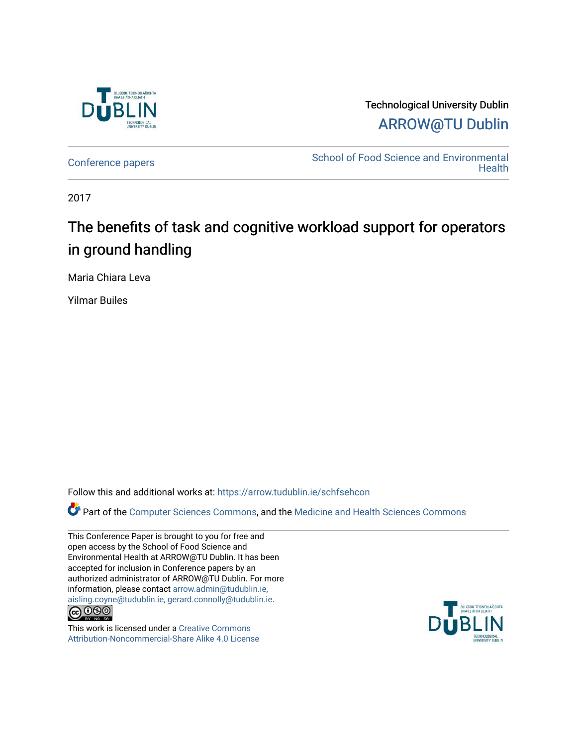

Technological University Dublin [ARROW@TU Dublin](https://arrow.tudublin.ie/) 

[Conference papers](https://arrow.tudublin.ie/schfsehcon) [School of Food Science and Environmental](https://arrow.tudublin.ie/schfseh)  **Health** 

2017

# The benefits of task and cognitive workload support for operators in ground handling

Maria Chiara Leva

Yilmar Builes

Follow this and additional works at: [https://arrow.tudublin.ie/schfsehcon](https://arrow.tudublin.ie/schfsehcon?utm_source=arrow.tudublin.ie%2Fschfsehcon%2F32&utm_medium=PDF&utm_campaign=PDFCoverPages) 

Part of the [Computer Sciences Commons](http://network.bepress.com/hgg/discipline/142?utm_source=arrow.tudublin.ie%2Fschfsehcon%2F32&utm_medium=PDF&utm_campaign=PDFCoverPages), and the [Medicine and Health Sciences Commons](http://network.bepress.com/hgg/discipline/648?utm_source=arrow.tudublin.ie%2Fschfsehcon%2F32&utm_medium=PDF&utm_campaign=PDFCoverPages) 

This Conference Paper is brought to you for free and open access by the School of Food Science and Environmental Health at ARROW@TU Dublin. It has been accepted for inclusion in Conference papers by an authorized administrator of ARROW@TU Dublin. For more information, please contact [arrow.admin@tudublin.ie,](mailto:arrow.admin@tudublin.ie,%20aisling.coyne@tudublin.ie,%20gerard.connolly@tudublin.ie)  [aisling.coyne@tudublin.ie, gerard.connolly@tudublin.ie](mailto:arrow.admin@tudublin.ie,%20aisling.coyne@tudublin.ie,%20gerard.connolly@tudublin.ie).



This work is licensed under a [Creative Commons](http://creativecommons.org/licenses/by-nc-sa/4.0/) [Attribution-Noncommercial-Share Alike 4.0 License](http://creativecommons.org/licenses/by-nc-sa/4.0/)

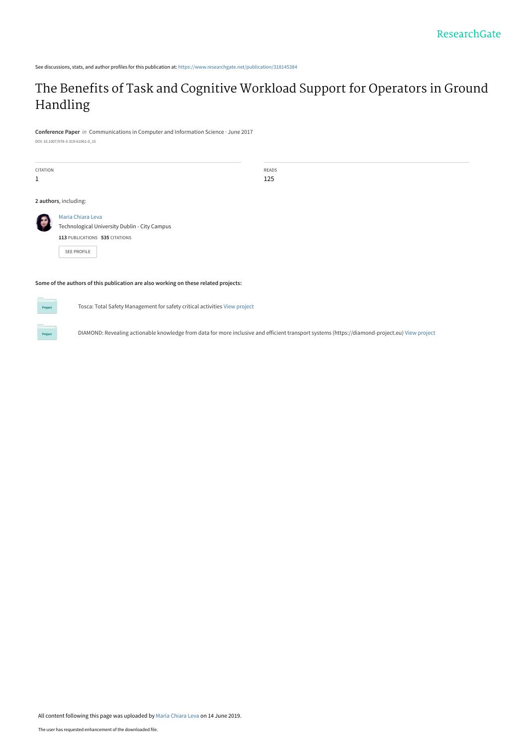See discussions, stats, and author profiles for this publication at: [https://www.researchgate.net/publication/318145384](https://www.researchgate.net/publication/318145384_The_Benefits_of_Task_and_Cognitive_Workload_Support_for_Operators_in_Ground_Handling?enrichId=rgreq-5754ba6e6373fd2a58fb66f28a07889e-XXX&enrichSource=Y292ZXJQYWdlOzMxODE0NTM4NDtBUzo3Njk3ODg2NDk0MjI4NDhAMTU2MDU0MzMyNDEzMw%3D%3D&el=1_x_2&_esc=publicationCoverPdf)

## [The Benefits of Task and Cognitive Workload Support for Operators in Ground](https://www.researchgate.net/publication/318145384_The_Benefits_of_Task_and_Cognitive_Workload_Support_for_Operators_in_Ground_Handling?enrichId=rgreq-5754ba6e6373fd2a58fb66f28a07889e-XXX&enrichSource=Y292ZXJQYWdlOzMxODE0NTM4NDtBUzo3Njk3ODg2NDk0MjI4NDhAMTU2MDU0MzMyNDEzMw%3D%3D&el=1_x_3&_esc=publicationCoverPdf) Handling

READS 125

**Conference Paper** in Communications in Computer and Information Science · June 2017 DOI: 10.1007/978-3-319-61061-0\_15

| <b>CITATION</b><br>1  |  |  |
|-----------------------|--|--|
| 2 authors, including: |  |  |

[Maria Chiara Leva](https://www.researchgate.net/profile/Maria-Leva?enrichId=rgreq-5754ba6e6373fd2a58fb66f28a07889e-XXX&enrichSource=Y292ZXJQYWdlOzMxODE0NTM4NDtBUzo3Njk3ODg2NDk0MjI4NDhAMTU2MDU0MzMyNDEzMw%3D%3D&el=1_x_5&_esc=publicationCoverPdf) [Technological University Dublin - City Campus](https://www.researchgate.net/institution/Technological-University-Dublin-City-Campus?enrichId=rgreq-5754ba6e6373fd2a58fb66f28a07889e-XXX&enrichSource=Y292ZXJQYWdlOzMxODE0NTM4NDtBUzo3Njk3ODg2NDk0MjI4NDhAMTU2MDU0MzMyNDEzMw%3D%3D&el=1_x_6&_esc=publicationCoverPdf) **113** PUBLICATIONS **535** CITATIONS

[SEE PROFILE](https://www.researchgate.net/profile/Maria-Leva?enrichId=rgreq-5754ba6e6373fd2a58fb66f28a07889e-XXX&enrichSource=Y292ZXJQYWdlOzMxODE0NTM4NDtBUzo3Njk3ODg2NDk0MjI4NDhAMTU2MDU0MzMyNDEzMw%3D%3D&el=1_x_7&_esc=publicationCoverPdf)

#### **Some of the authors of this publication are also working on these related projects:**

Tosca: Total Safety Management for safety critical activities [View project](https://www.researchgate.net/project/Tosca-Total-Safety-Management-for-safety-critical-activities?enrichId=rgreq-5754ba6e6373fd2a58fb66f28a07889e-XXX&enrichSource=Y292ZXJQYWdlOzMxODE0NTM4NDtBUzo3Njk3ODg2NDk0MjI4NDhAMTU2MDU0MzMyNDEzMw%3D%3D&el=1_x_9&_esc=publicationCoverPdf)

DIAMOND: Revealing actionable knowledge from data for more inclusive and efficient transport systems (https://diamond-project.eu) [View project](https://www.researchgate.net/project/DIAMOND-Revealing-actionable-knowledge-from-data-for-more-inclusive-and-efficient-transport-systems-https-diamond-projecteu?enrichId=rgreq-5754ba6e6373fd2a58fb66f28a07889e-XXX&enrichSource=Y292ZXJQYWdlOzMxODE0NTM4NDtBUzo3Njk3ODg2NDk0MjI4NDhAMTU2MDU0MzMyNDEzMw%3D%3D&el=1_x_9&_esc=publicationCoverPdf)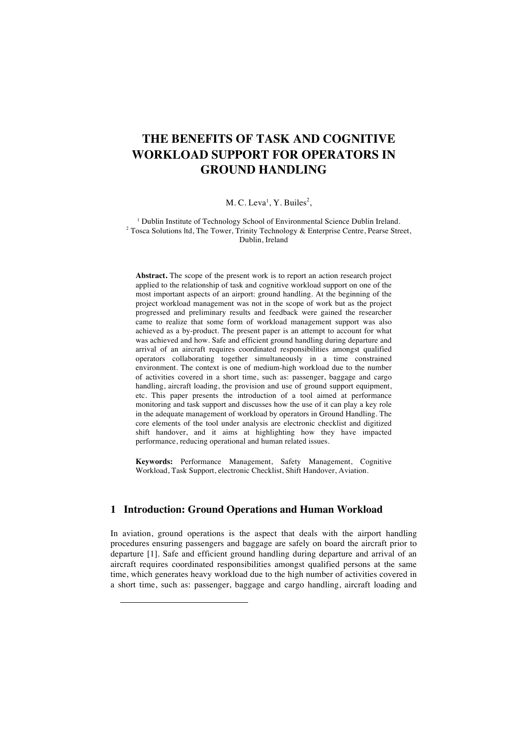## **THE BENEFITS OF TASK AND COGNITIVE WORKLOAD SUPPORT FOR OPERATORS IN GROUND HANDLING**

#### $M$ . C. Leva<sup>1</sup>, Y. Builes<sup>2</sup>,

<sup>1</sup> Dublin Institute of Technology School of Environmental Science Dublin Ireland. <sup>2</sup> Tosca Solutions ltd, The Tower, Trinity Technology & Enterprise Centre, Pearse Street, Dublin, Ireland

**Abstract.** The scope of the present work is to report an action research project applied to the relationship of task and cognitive workload support on one of the most important aspects of an airport: ground handling. At the beginning of the project workload management was not in the scope of work but as the project progressed and preliminary results and feedback were gained the researcher came to realize that some form of workload management support was also achieved as a by-product. The present paper is an attempt to account for what was achieved and how. Safe and efficient ground handling during departure and arrival of an aircraft requires coordinated responsibilities amongst qualified operators collaborating together simultaneously in a time constrained environment. The context is one of medium-high workload due to the number of activities covered in a short time, such as: passenger, baggage and cargo handling, aircraft loading, the provision and use of ground support equipment, etc. This paper presents the introduction of a tool aimed at performance monitoring and task support and discusses how the use of it can play a key role in the adequate management of workload by operators in Ground Handling. The core elements of the tool under analysis are electronic checklist and digitized shift handover, and it aims at highlighting how they have impacted performance, reducing operational and human related issues.

**Keywords:** Performance Management, Safety Management, Cognitive Workload, Task Support, electronic Checklist, Shift Handover, Aviation.

## **1 Introduction: Ground Operations and Human Workload**

-

In aviation, ground operations is the aspect that deals with the airport handling procedures ensuring passengers and baggage are safely on board the aircraft prior to departure [1]. Safe and efficient ground handling during departure and arrival of an aircraft requires coordinated responsibilities amongst qualified persons at the same time, which generates heavy workload due to the high number of activities covered in a short time, such as: passenger, baggage and cargo handling, aircraft loading and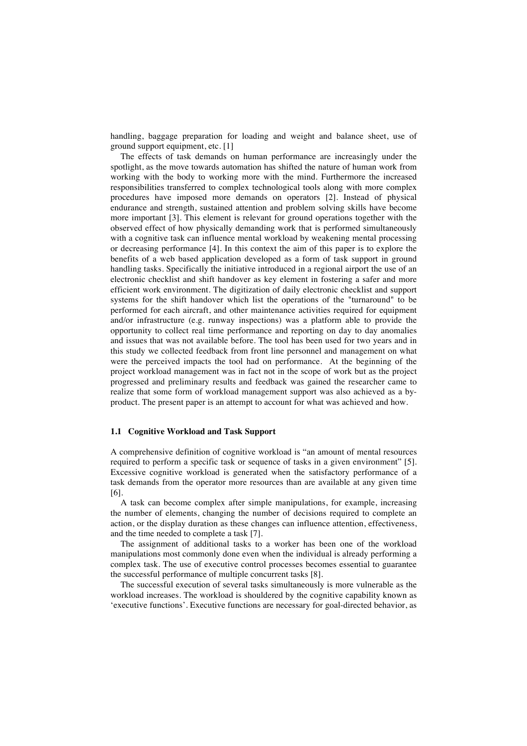handling, baggage preparation for loading and weight and balance sheet, use of ground support equipment, etc. [1]

The effects of task demands on human performance are increasingly under the spotlight, as the move towards automation has shifted the nature of human work from working with the body to working more with the mind. Furthermore the increased responsibilities transferred to complex technological tools along with more complex procedures have imposed more demands on operators [2]. Instead of physical endurance and strength, sustained attention and problem solving skills have become more important [3]. This element is relevant for ground operations together with the observed effect of how physically demanding work that is performed simultaneously with a cognitive task can influence mental workload by weakening mental processing or decreasing performance [4]. In this context the aim of this paper is to explore the benefits of a web based application developed as a form of task support in ground handling tasks. Specifically the initiative introduced in a regional airport the use of an electronic checklist and shift handover as key element in fostering a safer and more efficient work environment. The digitization of daily electronic checklist and support systems for the shift handover which list the operations of the "turnaround" to be performed for each aircraft, and other maintenance activities required for equipment and/or infrastructure (e.g. runway inspections) was a platform able to provide the opportunity to collect real time performance and reporting on day to day anomalies and issues that was not available before. The tool has been used for two years and in this study we collected feedback from front line personnel and management on what were the perceived impacts the tool had on performance. At the beginning of the project workload management was in fact not in the scope of work but as the project progressed and preliminary results and feedback was gained the researcher came to realize that some form of workload management support was also achieved as a byproduct. The present paper is an attempt to account for what was achieved and how.

#### **1.1 Cognitive Workload and Task Support**

A comprehensive definition of cognitive workload is "an amount of mental resources required to perform a specific task or sequence of tasks in a given environment" [5]. Excessive cognitive workload is generated when the satisfactory performance of a task demands from the operator more resources than are available at any given time [6].

A task can become complex after simple manipulations, for example, increasing the number of elements, changing the number of decisions required to complete an action, or the display duration as these changes can influence attention, effectiveness, and the time needed to complete a task [7].

The assignment of additional tasks to a worker has been one of the workload manipulations most commonly done even when the individual is already performing a complex task. The use of executive control processes becomes essential to guarantee the successful performance of multiple concurrent tasks [8].

The successful execution of several tasks simultaneously is more vulnerable as the workload increases. The workload is shouldered by the cognitive capability known as 'executive functions'. Executive functions are necessary for goal-directed behavior, as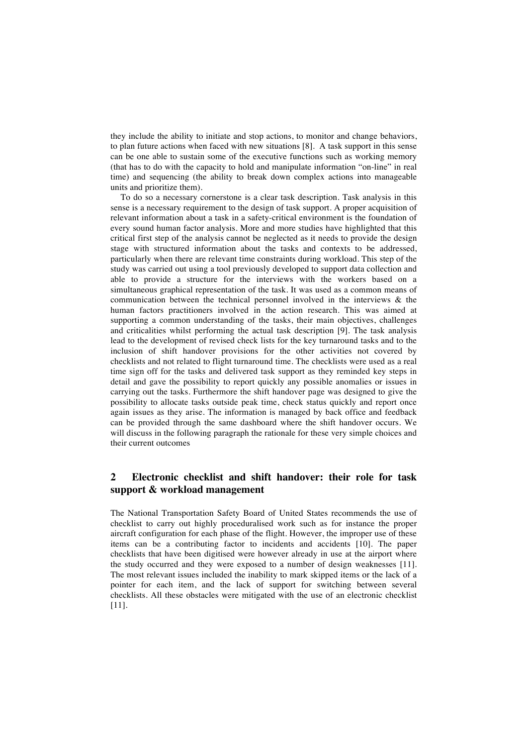they include the ability to initiate and stop actions, to monitor and change behaviors, to plan future actions when faced with new situations [8]. A task support in this sense can be one able to sustain some of the executive functions such as working memory (that has to do with the capacity to hold and manipulate information "on-line" in real time) and sequencing (the ability to break down complex actions into manageable units and prioritize them).

To do so a necessary cornerstone is a clear task description. Task analysis in this sense is a necessary requirement to the design of task support. A proper acquisition of relevant information about a task in a safety-critical environment is the foundation of every sound human factor analysis. More and more studies have highlighted that this critical first step of the analysis cannot be neglected as it needs to provide the design stage with structured information about the tasks and contexts to be addressed, particularly when there are relevant time constraints during workload. This step of the study was carried out using a tool previously developed to support data collection and able to provide a structure for the interviews with the workers based on a simultaneous graphical representation of the task. It was used as a common means of communication between the technical personnel involved in the interviews & the human factors practitioners involved in the action research. This was aimed at supporting a common understanding of the tasks, their main objectives, challenges and criticalities whilst performing the actual task description [9]. The task analysis lead to the development of revised check lists for the key turnaround tasks and to the inclusion of shift handover provisions for the other activities not covered by checklists and not related to flight turnaround time. The checklists were used as a real time sign off for the tasks and delivered task support as they reminded key steps in detail and gave the possibility to report quickly any possible anomalies or issues in carrying out the tasks. Furthermore the shift handover page was designed to give the possibility to allocate tasks outside peak time, check status quickly and report once again issues as they arise. The information is managed by back office and feedback can be provided through the same dashboard where the shift handover occurs. We will discuss in the following paragraph the rationale for these very simple choices and their current outcomes

### **2 Electronic checklist and shift handover: their role for task support & workload management**

The National Transportation Safety Board of United States recommends the use of checklist to carry out highly proceduralised work such as for instance the proper aircraft configuration for each phase of the flight. However, the improper use of these items can be a contributing factor to incidents and accidents [10]. The paper checklists that have been digitised were however already in use at the airport where the study occurred and they were exposed to a number of design weaknesses [11]. The most relevant issues included the inability to mark skipped items or the lack of a pointer for each item, and the lack of support for switching between several checklists. All these obstacles were mitigated with the use of an electronic checklist [11].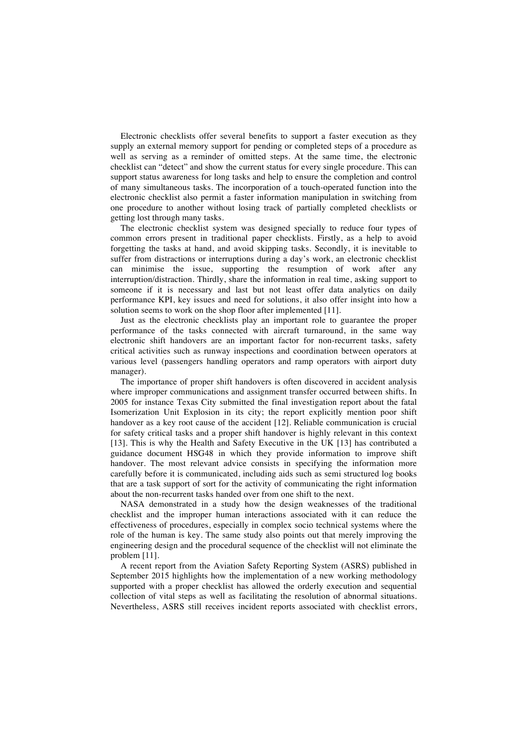Electronic checklists offer several benefits to support a faster execution as they supply an external memory support for pending or completed steps of a procedure as well as serving as a reminder of omitted steps. At the same time, the electronic checklist can "detect" and show the current status for every single procedure. This can support status awareness for long tasks and help to ensure the completion and control of many simultaneous tasks. The incorporation of a touch-operated function into the electronic checklist also permit a faster information manipulation in switching from one procedure to another without losing track of partially completed checklists or getting lost through many tasks.

The electronic checklist system was designed specially to reduce four types of common errors present in traditional paper checklists. Firstly, as a help to avoid forgetting the tasks at hand, and avoid skipping tasks. Secondly, it is inevitable to suffer from distractions or interruptions during a day's work, an electronic checklist can minimise the issue, supporting the resumption of work after any interruption/distraction. Thirdly, share the information in real time, asking support to someone if it is necessary and last but not least offer data analytics on daily performance KPI, key issues and need for solutions, it also offer insight into how a solution seems to work on the shop floor after implemented [11].

Just as the electronic checklists play an important role to guarantee the proper performance of the tasks connected with aircraft turnaround, in the same way electronic shift handovers are an important factor for non-recurrent tasks, safety critical activities such as runway inspections and coordination between operators at various level (passengers handling operators and ramp operators with airport duty manager).

The importance of proper shift handovers is often discovered in accident analysis where improper communications and assignment transfer occurred between shifts. In 2005 for instance Texas City submitted the final investigation report about the fatal Isomerization Unit Explosion in its city; the report explicitly mention poor shift handover as a key root cause of the accident [12]. Reliable communication is crucial for safety critical tasks and a proper shift handover is highly relevant in this context [13]. This is why the Health and Safety Executive in the UK [13] has contributed a guidance document HSG48 in which they provide information to improve shift handover. The most relevant advice consists in specifying the information more carefully before it is communicated, including aids such as semi structured log books that are a task support of sort for the activity of communicating the right information about the non-recurrent tasks handed over from one shift to the next.

NASA demonstrated in a study how the design weaknesses of the traditional checklist and the improper human interactions associated with it can reduce the effectiveness of procedures, especially in complex socio technical systems where the role of the human is key. The same study also points out that merely improving the engineering design and the procedural sequence of the checklist will not eliminate the problem [11].

A recent report from the Aviation Safety Reporting System (ASRS) published in September 2015 highlights how the implementation of a new working methodology supported with a proper checklist has allowed the orderly execution and sequential collection of vital steps as well as facilitating the resolution of abnormal situations. Nevertheless, ASRS still receives incident reports associated with checklist errors,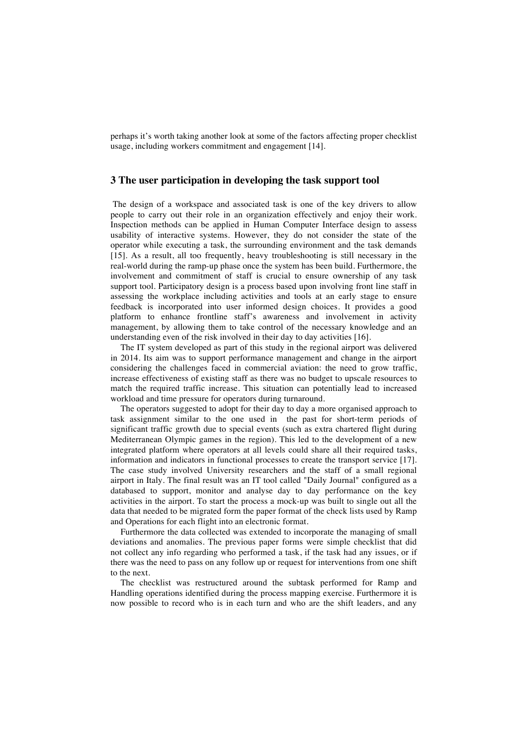perhaps it's worth taking another look at some of the factors affecting proper checklist usage, including workers commitment and engagement [14].

#### **3 The user participation in developing the task support tool**

The design of a workspace and associated task is one of the key drivers to allow people to carry out their role in an organization effectively and enjoy their work. Inspection methods can be applied in Human Computer Interface design to assess usability of interactive systems. However, they do not consider the state of the operator while executing a task, the surrounding environment and the task demands [15]. As a result, all too frequently, heavy troubleshooting is still necessary in the real-world during the ramp-up phase once the system has been build. Furthermore, the involvement and commitment of staff is crucial to ensure ownership of any task support tool. Participatory design is a process based upon involving front line staff in assessing the workplace including activities and tools at an early stage to ensure feedback is incorporated into user informed design choices. It provides a good platform to enhance frontline staff's awareness and involvement in activity management, by allowing them to take control of the necessary knowledge and an understanding even of the risk involved in their day to day activities [16].

The IT system developed as part of this study in the regional airport was delivered in 2014. Its aim was to support performance management and change in the airport considering the challenges faced in commercial aviation: the need to grow traffic, increase effectiveness of existing staff as there was no budget to upscale resources to match the required traffic increase. This situation can potentially lead to increased workload and time pressure for operators during turnaround.

The operators suggested to adopt for their day to day a more organised approach to task assignment similar to the one used in the past for short-term periods of significant traffic growth due to special events (such as extra chartered flight during Mediterranean Olympic games in the region). This led to the development of a new integrated platform where operators at all levels could share all their required tasks, information and indicators in functional processes to create the transport service [17]. The case study involved University researchers and the staff of a small regional airport in Italy. The final result was an IT tool called "Daily Journal" configured as a databased to support, monitor and analyse day to day performance on the key activities in the airport. To start the process a mock-up was built to single out all the data that needed to be migrated form the paper format of the check lists used by Ramp and Operations for each flight into an electronic format.

Furthermore the data collected was extended to incorporate the managing of small deviations and anomalies. The previous paper forms were simple checklist that did not collect any info regarding who performed a task, if the task had any issues, or if there was the need to pass on any follow up or request for interventions from one shift to the next.

The checklist was restructured around the subtask performed for Ramp and Handling operations identified during the process mapping exercise. Furthermore it is now possible to record who is in each turn and who are the shift leaders, and any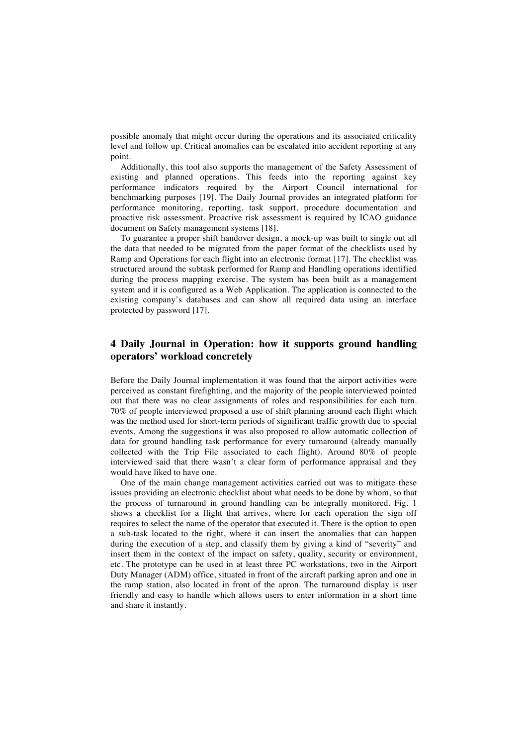possible anomaly that might occur during the operations and its associated criticality level and follow up. Critical anomalies can be escalated into accident reporting at any point.

Additionally, this tool also supports the management of the Safety Assessment of existing and planned operations. This feeds into the reporting against key performance indicators required by the Airport Council international for benchmarking purposes [19]. The Daily Journal provides an integrated platform for performance monitoring, reporting, task support, procedure documentation and proactive risk assessment. Proactive risk assessment is required by ICAO guidance document on Safety management systems [18].

To guarantee a proper shift handover design, a mock-up was built to single out all the data that needed to be migrated from the paper format of the checklists used by Ramp and Operations for each flight into an electronic format [17]. The checklist was structured around the subtask performed for Ramp and Handling operations identified during the process mapping exercise. The system has been built as a management system and it is configured as a Web Application. The application is connected to the existing company's databases and can show all required data using an interface protected by password [17].

## **4 Daily Journal in Operation: how it supports ground handling operators' workload concretely**

Before the Daily Journal implementation it was found that the airport activities were perceived as constant firefighting, and the majority of the people interviewed pointed out that there was no clear assignments of roles and responsibilities for each turn. 70% of people interviewed proposed a use of shift planning around each flight which was the method used for short-term periods of significant traffic growth due to special events. Among the suggestions it was also proposed to allow automatic collection of data for ground handling task performance for every turnaround (already manually collected with the Trip File associated to each flight). Around 80% of people interviewed said that there wasn't a clear form of performance appraisal and they would have liked to have one.

One of the main change management activities carried out was to mitigate these issues providing an electronic checklist about what needs to be done by whom, so that the process of turnaround in ground handling can be integrally monitored. Fig. 1 shows a checklist for a flight that arrives, where for each operation the sign off requires to select the name of the operator that executed it. There is the option to open a sub-task located to the right, where it can insert the anomalies that can happen during the execution of a step, and classify them by giving a kind of "severity" and insert them in the context of the impact on safety, quality, security or environment, etc. The prototype can be used in at least three PC workstations, two in the Airport Duty Manager (ADM) office, situated in front of the aircraft parking apron and one in the ramp station, also located in front of the apron. The turnaround display is user friendly and easy to handle which allows users to enter information in a short time and share it instantly.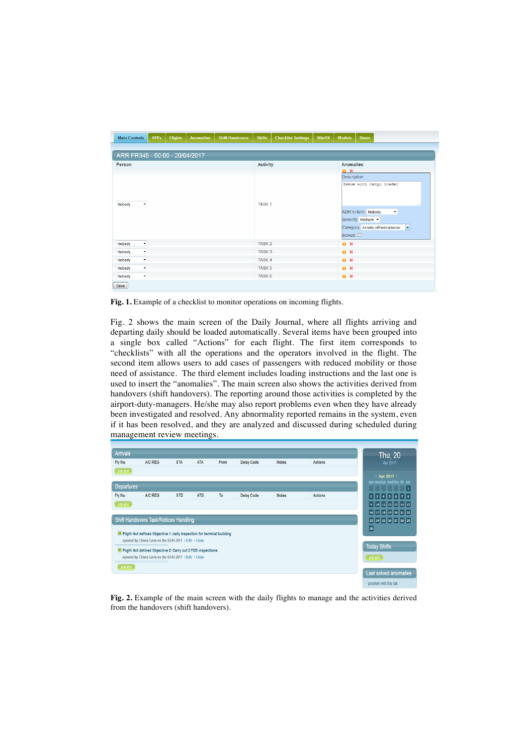| <b>Main Controls</b><br><b>KPI's</b><br><b>Flights</b><br><b>Anomalies</b><br><b>Shift Handovers</b> | <b>Shifts</b><br><b>Checklist Settings</b> | <b>WinHX</b><br><b>Models</b><br><b>Users</b>                                                                                                                                                                                  |
|------------------------------------------------------------------------------------------------------|--------------------------------------------|--------------------------------------------------------------------------------------------------------------------------------------------------------------------------------------------------------------------------------|
| ARR FR345 - 00:00 - 20/04/2017                                                                       |                                            |                                                                                                                                                                                                                                |
| Person<br>Nobody<br>$\blacktriangledown$                                                             | Activity<br><b>TASK1</b>                   | <b>Anomalies</b><br>0 x<br>Description<br>Issue with cargo loader<br>A<br>ADM in turn: Nobody<br>$\color{red}\mathbf{v}$<br>Severity Medium v<br>$\left  \cdot \right $<br>Category Airside infrastructures<br>Solved <b>D</b> |
| Nobody<br>$\blacktriangledown$                                                                       | <b>TASK2</b>                               | $\mathbf{0} \times$                                                                                                                                                                                                            |
| Nobody<br>۰                                                                                          | TASK <sub>3</sub>                          | $\mathbf{0} \times$                                                                                                                                                                                                            |
| Nobody<br>۰                                                                                          | <b>TASK4</b>                               | $\mathbf{a} \times$                                                                                                                                                                                                            |
| Nobody<br>$\blacktriangledown$                                                                       | <b>TASK 5</b>                              | $\mathbf{0} \times$                                                                                                                                                                                                            |
| Nobody<br>۰<br>Save                                                                                  | TASK <sub>6</sub>                          | $\mathbf{0} \times$                                                                                                                                                                                                            |

Fig. 1. Example of a checklist to monitor operations on incoming flights.

Fig. 2 shows the main screen of the Daily Journal, where all flights arriving and departing daily should be loaded automatically. Several items have been grouped into a single box called "Actions" for each flight. The first item corresponds to "checklists" with all the operations and the operators involved in the flight. The second item allows users to add cases of passengers with reduced mobility or those need of assistance. The third element includes loading instructions and the last one is used to insert the "anomalies". The main screen also shows the activities derived from handovers (shift handovers). The reporting around those activities is completed by the airport-duty-managers. He/she may also report problems even when they have already been investigated and resolved. Any abnormality reported remains in the system, even if it has been resolved, and they are analyzed and discussed during scheduled during management review meetings.



**Fig. 2.** Example of the main screen with the daily flights to manage and the activities derived from the handovers (shift handovers).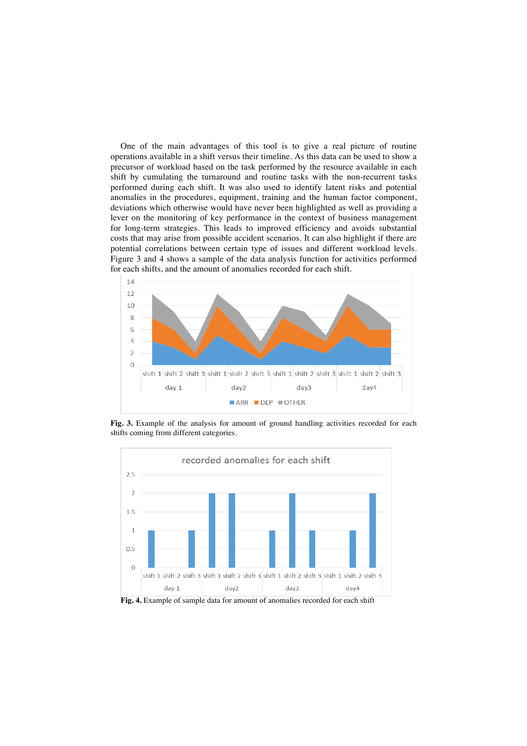One of the main advantages of this tool is to give a real picture of routine operations available in a shift versus their timeline. As this data can be used to show a precursor of workload based on the task performed by the resource available in each shift by cumulating the turnaround and routine tasks with the non-recurrent tasks performed during each shift. It was also used to identify latent risks and potential anomalies in the procedures, equipment, training and the human factor component, deviations which otherwise would have never been highlighted as well as providing a lever on the monitoring of key performance in the context of business management for long-term strategies. This leads to improved efficiency and avoids substantial costs that may arise from possible accident scenarios. It can also highlight if there are potential correlations between certain type of issues and different workload levels. Figure 3 and 4 shows a sample of the data analysis function for activities performed for each shifts, and the amount of anomalies recorded for each shift.



Fig. 3. Example of the analysis for amount of ground handling activities recorded for each shifts coming from different categories.



**Fig. 4.** Example of sample data for amount of anomalies recorded for each shift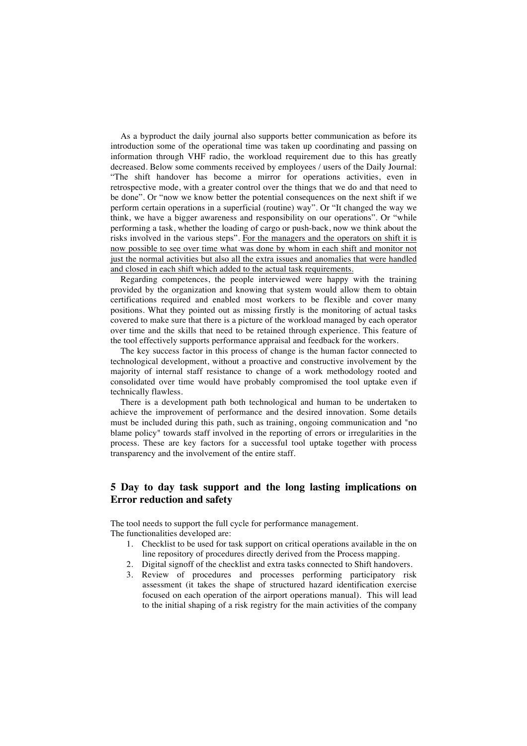As a byproduct the daily journal also supports better communication as before its introduction some of the operational time was taken up coordinating and passing on information through VHF radio, the workload requirement due to this has greatly decreased. Below some comments received by employees / users of the Daily Journal: "The shift handover has become a mirror for operations activities, even in retrospective mode, with a greater control over the things that we do and that need to be done". Or "now we know better the potential consequences on the next shift if we perform certain operations in a superficial (routine) way". Or "It changed the way we think, we have a bigger awareness and responsibility on our operations". Or "while performing a task, whether the loading of cargo or push-back, now we think about the risks involved in the various steps". For the managers and the operators on shift it is now possible to see over time what was done by whom in each shift and monitor not just the normal activities but also all the extra issues and anomalies that were handled and closed in each shift which added to the actual task requirements.

Regarding competences, the people interviewed were happy with the training provided by the organization and knowing that system would allow them to obtain certifications required and enabled most workers to be flexible and cover many positions. What they pointed out as missing firstly is the monitoring of actual tasks covered to make sure that there is a picture of the workload managed by each operator over time and the skills that need to be retained through experience. This feature of the tool effectively supports performance appraisal and feedback for the workers.

The key success factor in this process of change is the human factor connected to technological development, without a proactive and constructive involvement by the majority of internal staff resistance to change of a work methodology rooted and consolidated over time would have probably compromised the tool uptake even if technically flawless.

There is a development path both technological and human to be undertaken to achieve the improvement of performance and the desired innovation. Some details must be included during this path, such as training, ongoing communication and "no blame policy" towards staff involved in the reporting of errors or irregularities in the process. These are key factors for a successful tool uptake together with process transparency and the involvement of the entire staff.

### **5 Day to day task support and the long lasting implications on Error reduction and safety**

The tool needs to support the full cycle for performance management. The functionalities developed are:

- 1. Checklist to be used for task support on critical operations available in the on line repository of procedures directly derived from the Process mapping.
- 2. Digital signoff of the checklist and extra tasks connected to Shift handovers.
- 3. Review of procedures and processes performing participatory risk assessment (it takes the shape of structured hazard identification exercise focused on each operation of the airport operations manual). This will lead to the initial shaping of a risk registry for the main activities of the company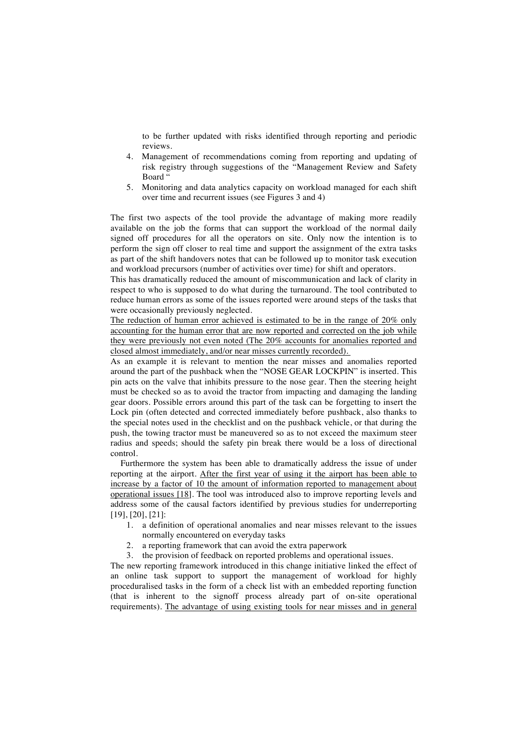to be further updated with risks identified through reporting and periodic reviews.

- 4. Management of recommendations coming from reporting and updating of risk registry through suggestions of the "Management Review and Safety Board "
- 5. Monitoring and data analytics capacity on workload managed for each shift over time and recurrent issues (see Figures 3 and 4)

The first two aspects of the tool provide the advantage of making more readily available on the job the forms that can support the workload of the normal daily signed off procedures for all the operators on site. Only now the intention is to perform the sign off closer to real time and support the assignment of the extra tasks as part of the shift handovers notes that can be followed up to monitor task execution and workload precursors (number of activities over time) for shift and operators.

This has dramatically reduced the amount of miscommunication and lack of clarity in respect to who is supposed to do what during the turnaround. The tool contributed to reduce human errors as some of the issues reported were around steps of the tasks that were occasionally previously neglected.

The reduction of human error achieved is estimated to be in the range of 20% only accounting for the human error that are now reported and corrected on the job while they were previously not even noted (The 20% accounts for anomalies reported and closed almost immediately, and/or near misses currently recorded).

As an example it is relevant to mention the near misses and anomalies reported around the part of the pushback when the "NOSE GEAR LOCKPIN" is inserted. This pin acts on the valve that inhibits pressure to the nose gear. Then the steering height must be checked so as to avoid the tractor from impacting and damaging the landing gear doors. Possible errors around this part of the task can be forgetting to insert the Lock pin (often detected and corrected immediately before pushback, also thanks to the special notes used in the checklist and on the pushback vehicle, or that during the push, the towing tractor must be maneuvered so as to not exceed the maximum steer radius and speeds; should the safety pin break there would be a loss of directional control.

Furthermore the system has been able to dramatically address the issue of under reporting at the airport. After the first year of using it the airport has been able to increase by a factor of 10 the amount of information reported to management about operational issues [18]. The tool was introduced also to improve reporting levels and address some of the causal factors identified by previous studies for underreporting [19], [20], [21]:

- 1. a definition of operational anomalies and near misses relevant to the issues normally encountered on everyday tasks
- 2. a reporting framework that can avoid the extra paperwork
- 3. the provision of feedback on reported problems and operational issues.

The new reporting framework introduced in this change initiative linked the effect of an online task support to support the management of workload for highly proceduralised tasks in the form of a check list with an embedded reporting function (that is inherent to the signoff process already part of on-site operational requirements). The advantage of using existing tools for near misses and in general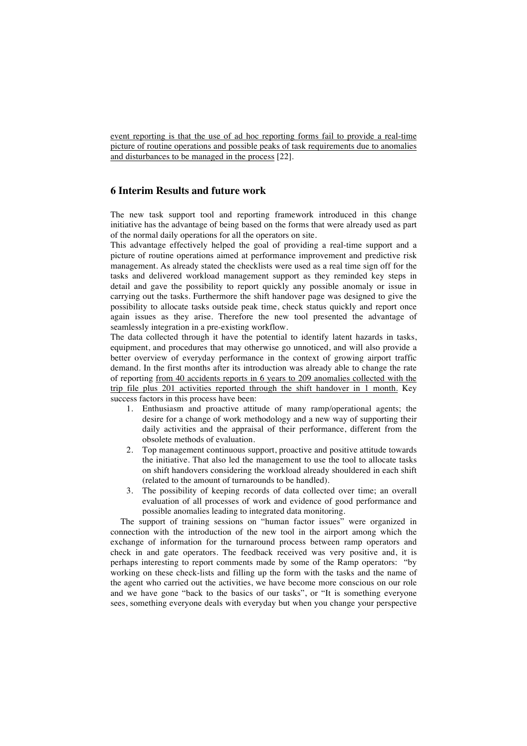event reporting is that the use of ad hoc reporting forms fail to provide a real-time picture of routine operations and possible peaks of task requirements due to anomalies and disturbances to be managed in the process [22].

#### **6 Interim Results and future work**

The new task support tool and reporting framework introduced in this change initiative has the advantage of being based on the forms that were already used as part of the normal daily operations for all the operators on site.

This advantage effectively helped the goal of providing a real-time support and a picture of routine operations aimed at performance improvement and predictive risk management. As already stated the checklists were used as a real time sign off for the tasks and delivered workload management support as they reminded key steps in detail and gave the possibility to report quickly any possible anomaly or issue in carrying out the tasks. Furthermore the shift handover page was designed to give the possibility to allocate tasks outside peak time, check status quickly and report once again issues as they arise. Therefore the new tool presented the advantage of seamlessly integration in a pre-existing workflow.

The data collected through it have the potential to identify latent hazards in tasks, equipment, and procedures that may otherwise go unnoticed, and will also provide a better overview of everyday performance in the context of growing airport traffic demand. In the first months after its introduction was already able to change the rate of reporting from 40 accidents reports in 6 years to 209 anomalies collected with the trip file plus 201 activities reported through the shift handover in 1 month. Key success factors in this process have been:

- 1. Enthusiasm and proactive attitude of many ramp/operational agents; the desire for a change of work methodology and a new way of supporting their daily activities and the appraisal of their performance, different from the obsolete methods of evaluation.
- 2. Top management continuous support, proactive and positive attitude towards the initiative. That also led the management to use the tool to allocate tasks on shift handovers considering the workload already shouldered in each shift (related to the amount of turnarounds to be handled).
- 3. The possibility of keeping records of data collected over time; an overall evaluation of all processes of work and evidence of good performance and possible anomalies leading to integrated data monitoring.

The support of training sessions on "human factor issues" were organized in connection with the introduction of the new tool in the airport among which the exchange of information for the turnaround process between ramp operators and check in and gate operators. The feedback received was very positive and, it is perhaps interesting to report comments made by some of the Ramp operators: "by working on these check-lists and filling up the form with the tasks and the name of the agent who carried out the activities, we have become more conscious on our role and we have gone "back to the basics of our tasks", or "It is something everyone sees, something everyone deals with everyday but when you change your perspective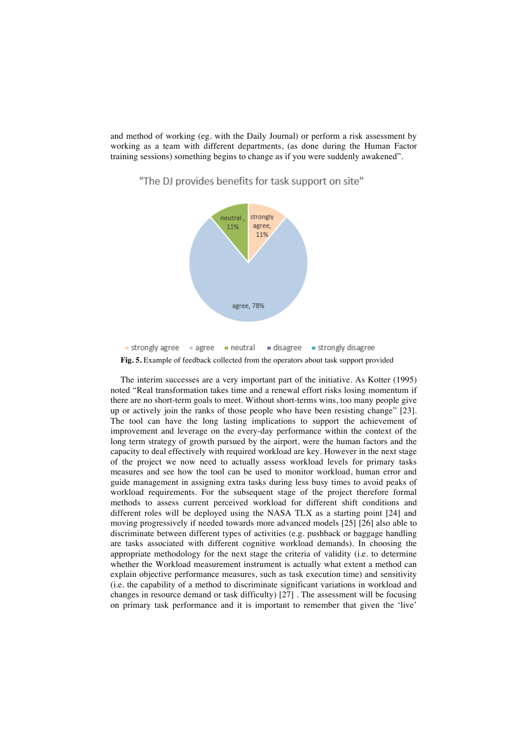and method of working (eg. with the Daily Journal) or perform a risk assessment by working as a team with different departments, (as done during the Human Factor training sessions) something begins to change as if you were suddenly awakened".

> strongly neutral 11% agree, 11% agree, 78%

"The DJ provides benefits for task support on site"

**Fig. 5.** Example of feedback collected from the operators about task support provided

 $\blacksquare$  disagree  $\blacksquare$  strongly disagree

 $n$ eutral

strongly agree

agree

The interim successes are a very important part of the initiative. As Kotter (1995) noted "Real transformation takes time and a renewal effort risks losing momentum if there are no short-term goals to meet. Without short-terms wins, too many people give up or actively join the ranks of those people who have been resisting change" [23]. The tool can have the long lasting implications to support the achievement of improvement and leverage on the every-day performance within the context of the long term strategy of growth pursued by the airport, were the human factors and the capacity to deal effectively with required workload are key. However in the next stage of the project we now need to actually assess workload levels for primary tasks measures and see how the tool can be used to monitor workload, human error and guide management in assigning extra tasks during less busy times to avoid peaks of workload requirements. For the subsequent stage of the project therefore formal methods to assess current perceived workload for different shift conditions and different roles will be deployed using the NASA TLX as a starting point [24] and moving progressively if needed towards more advanced models [25] [26] also able to discriminate between different types of activities (e.g. pushback or baggage handling are tasks associated with different cognitive workload demands). In choosing the appropriate methodology for the next stage the criteria of validity (i.e. to determine whether the Workload measurement instrument is actually what extent a method can explain objective performance measures, such as task execution time) and sensitivity (i.e. the capability of a method to discriminate significant variations in workload and changes in resource demand or task difficulty) [27] . The assessment will be focusing on primary task performance and it is important to remember that given the 'live'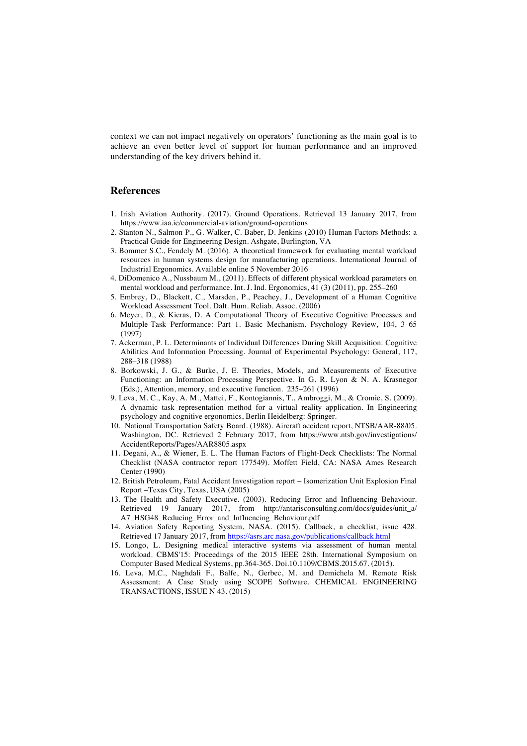context we can not impact negatively on operators' functioning as the main goal is to achieve an even better level of support for human performance and an improved understanding of the key drivers behind it.

#### **References**

- 1. Irish Aviation Authority. (2017). Ground Operations. Retrieved 13 January 2017, from https://www.iaa.ie/commercial-aviation/ground-operations
- 2. Stanton N., Salmon P., G. Walker, C. Baber, D. Jenkins (2010) Human Factors Methods: a Practical Guide for Engineering Design. Ashgate, Burlington, VA
- 3. Bommer S.C., Fendely M. (2016). A theoretical framework for evaluating mental workload resources in human systems design for manufacturing operations. International Journal of Industrial Ergonomics. Available online 5 November 2016
- 4. DiDomenico A., Nussbaum M., (2011). Effects of different physical workload parameters on mental workload and performance. Int. J. Ind. Ergonomics, 41 (3) (2011), pp. 255–260
- 5. Embrey, D., Blackett, C., Marsden, P., Peachey, J., Development of a Human Cognitive Workload Assessment Tool. Dalt. Hum. Reliab. Assoc. (2006)
- 6. Meyer, D., & Kieras, D. A Computational Theory of Executive Cognitive Processes and Multiple-Task Performance: Part 1. Basic Mechanism. Psychology Review, 104, 3–65 (1997)
- 7. Ackerman, P. L. Determinants of Individual Differences During Skill Acquisition: Cognitive Abilities And Information Processing. Journal of Experimental Psychology: General, 117, 288–318 (1988)
- 8. Borkowski, J. G., & Burke, J. E. Theories, Models, and Measurements of Executive Functioning: an Information Processing Perspective. In G. R. Lyon & N. A. Krasnegor (Eds.), Attention, memory, and executive function. 235–261 (1996)
- 9. Leva, M. C., Kay, A. M., Mattei, F., Kontogiannis, T., Ambroggi, M., & Cromie, S. (2009). A dynamic task representation method for a virtual reality application. In Engineering psychology and cognitive ergonomics, Berlin Heidelberg: Springer.
- 10. National Transportation Safety Board. (1988). Aircraft accident report, NTSB/AAR-88/05. Washington, DC. Retrieved 2 February 2017, from https://www.ntsb.gov/investigations/ AccidentReports/Pages/AAR8805.aspx
- 11. Degani, A., & Wiener, E. L. The Human Factors of Flight-Deck Checklists: The Normal Checklist (NASA contractor report 177549). Moffett Field, CA: NASA Ames Research Center (1990)
- 12. British Petroleum, Fatal Accident Investigation report Isomerization Unit Explosion Final Report –Texas City, Texas, USA (2005)
- 13. The Health and Safety Executive. (2003). Reducing Error and Influencing Behaviour. Retrieved 19 January 2017, from http://antarisconsulting.com/docs/guides/unit\_a/ A7\_HSG48\_Reducing\_Error\_and\_Influencing\_Behaviour.pdf
- 14. Aviation Safety Reporting System, NASA. (2015). Callback, a checklist, issue 428. Retrieved 17 January 2017, from https://asrs.arc.nasa.gov/publications/callback.html
- 15. Longo, L. Designing medical interactive systems via assessment of human mental workload. CBMS'15: Proceedings of the 2015 IEEE 28th. International Symposium on Computer Based Medical Systems, pp.364-365. Doi.10.1109/CBMS.2015.67. (2015).
- 16. Leva, M.C., Naghdali F., Balfe, N., Gerbec, M. and Demichela M. Remote Risk Assessment: A Case Study using SCOPE Software. CHEMICAL ENGINEERING TRANSACTIONS, ISSUE N 43. (2015)